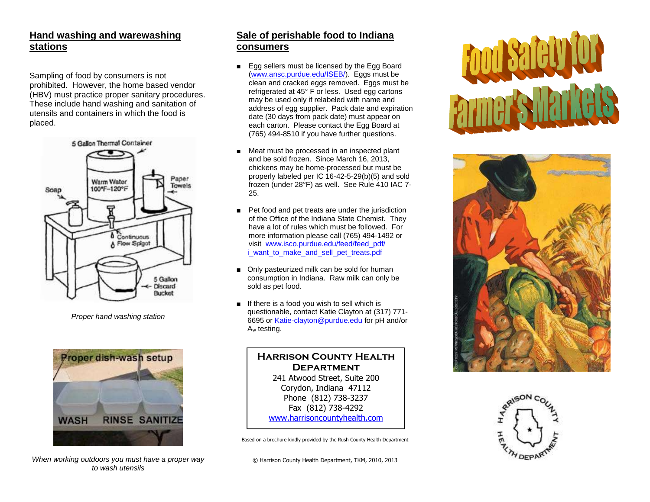## **Hand washing and warewashing stations**

Sampling of food by consumers is not prohibited. However, the home based vendor (HBV) must practice proper sanitary procedures. These include hand washing and sanitation of utensils and containers in which the food is placed.



*Proper hand washing station*



*When working outdoors you must have a proper way to wash utensils*

#### **Sale of perishable food to Indiana consumers**

- Egg sellers must be licensed by the Egg Board [\(www.ansc.purdue.edu/ISEB/\)](http://www.ansc.purdue.edu/ISEB/). Eggs must be clean and cracked eggs removed. Eggs must be refrigerated at 45° F or less. Used egg cartons may be used only if relabeled with name and address of egg supplier. Pack date and expiration date (30 days from pack date) must appear on each carton. Please contact the Egg Board at (765) 494-8510 if you have further questions.
- Meat must be processed in an inspected plant and be sold frozen. Since March 16, 2013, chickens may be home-processed but must be properly labeled per IC 16-42-5-29(b)(5) and sold frozen (under 28°F) as well. See Rule 410 IAC 7- 25.
- Pet food and pet treats are under the jurisdiction of the Office of the Indiana State Chemist. They have a lot of rules which must be followed. For more information please call (765) 494-1492 or visit www.isco.purdue.edu/feed/feed\_pdf/ i\_want\_to\_make\_and\_sell\_pet\_treats.pdf
- Only pasteurized milk can be sold for human consumption in Indiana. Raw milk can only be sold as pet food.
- If there is a food you wish to sell which is questionable, contact Katie Clayton at (317) 771- 6695 o[r Katie-clayton@purdue.edu](mailto:Katie-clayton@purdue.edu) for pH and/or A<sup>w</sup> testing.

#### **Harrison County Health Department** 241 Atwood Street, Suite 200 Corydon, Indiana 47112 Phone (812) 738-3237 Fax (812) 738-4292 [www.harrisoncountyhealth.com](http://www.harrisoncountyhealth.com/)

Based on a brochure kindly provided by the Rush County Health Department

© Harrison County Health Department, TKM, 2010, 2013